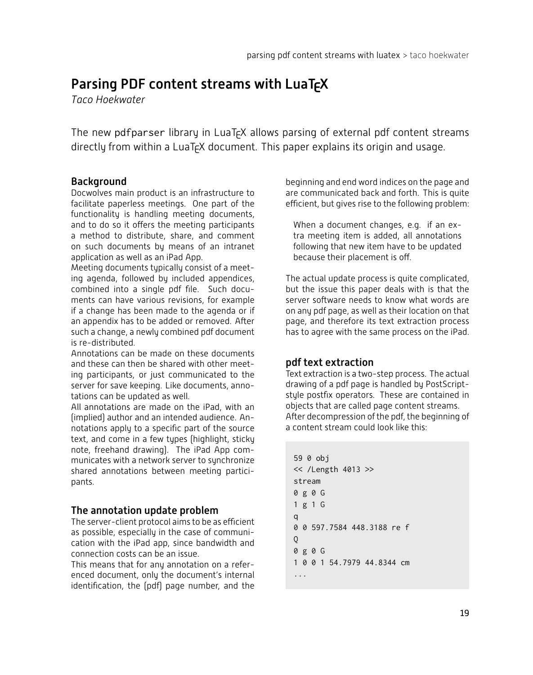# Parsing PDF content streams with LuaTFX

 $T$ *aco* Hoekwater

The new pdfparser library in LuaT<sub>F</sub>X allows parsing of external pdf content streams directly from within a LuaT<sub>F</sub>X document. This paper explains its origin and usage.

# **Background**

Docwolves main product is an infrastructure to facilitate paperless meetings. One part of the functionality is handling meeting documents, and to do so it offers the meeting participants a method to distribute, share, and comment on such documents by means of an intranet application as well as an iPad App.

Meeting documents typically consist of a meeting agenda, followed by included appendices, combined into a single pdf file. Such documents can have various revisions, for example if a change has been made to the agenda or if an appendix has to be added or removed. After such a change, a newly combined pdf document s re-distributed

Annotations can be made on these documents and these can then be shared with other meeting participants, or just communicated to the server for save keeping. Like documents, annotations can be updated as well.

All annotations are made on the iPad, with an fimplied) author and an intended audience. Annotations apply to a specific part of the source text, and come in a few types (highlight, sticky note, freehand drawing). The iPad App communicates with a network server to synchronize shared annotations between meeting participants.

# The annotation update problem

The server-client protocol aims to be as efficient as possible, especially in the case of communication with the iPad app, since bandwidth and connection costs can be an issue.

This means that for any annotation on a referenced document, only the document's internal identification, the (pdf) page number, and the

beginning and end word indices on the page and are communicated back and forth. This is quite efficient, but gives rise to the following problem:

When a document changes, e.g. if an extra meeting item is added, all annotations following that new item have to be updated because their placement is off.

The actual update process is quite complicated, but the issue this paper deals with is that the server software needs to know what words are on any pdf page, as well as their location on that page, and therefore its text extraction process has to agree with the same process on the iPad.

# pdf text extraction

Text extraction is a two-step process. The actual drawing of a pdf page is handled by PostScriptstyle postfix operators. These are contained in objects that are called page content streams. After decompression of the pdf, the beginning of a content stream could look like this:

```
59 0 obj
<< /Length 4013 >>
stream
0g0G
1g1G
q
0 0 597.7584 448.3188 re f
Q
0g0G
1 0 0 1 54.7979 44.8344 cm
...
```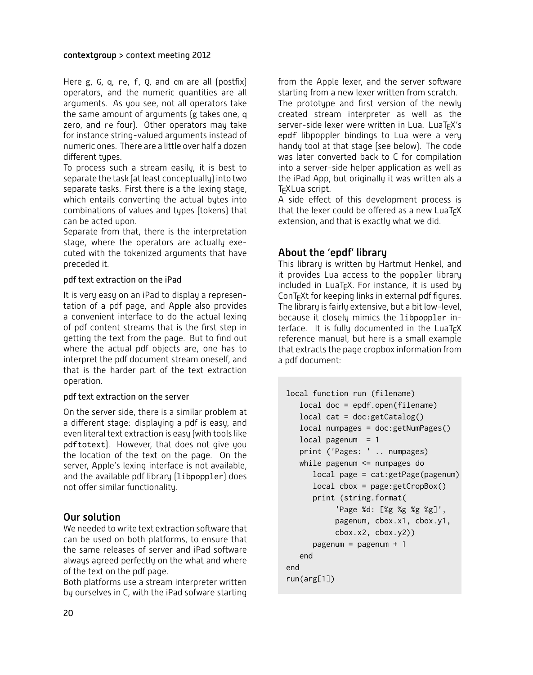#### contextgroup > context meeting 2012

Here g, G, q, re, f, Q, and cm are all (postfix) operators, and the numeric quantities are all arguments. As you see, not all operators take the same amount of arguments (g takes one, q zero, and re four). Other operators may take for instance string-valued arguments instead of numeric ones. There are a little over half a dozen different tunes

To process such a stream easily, it is best to separate the task (at least conceptually) into two separate tasks. First there is a the lexing stage, which entails converting the actual bytes into combinations of values and types (tokens) that can be acted upon.

Separate from that, there is the interpretation stage, where the operators are actually executed with the tokenized arguments that have preceded it.

#### pdf text extraction on the iPad

It is very easy on an iPad to display a representation of a pdf page, and Apple also provides a convenient interface to do the actual lexing of pdf content streams that is the first step in getting the text from the page. But to find out where the actual pdf objects are, one has to interpret the pdf document stream oneself, and that is the harder part of the text extraction operation.

#### pdf text extraction on the server

On the server side, there is a similar problem at a different stage: displaying a pdf is easy, and even literal text extraction is easy (with tools like pdftotext). However, that does not give you the location of the text on the page. On the server, Apple's lexing interface is not available, and the available pdf library (libpoppler) does not offer similar functionality.

### Our solution

We needed to write text extraction software that can be used on both platforms, to ensure that the same releases of server and iPad software always agreed perfectly on the what and where of the text on the pdf page.

Both platforms use a stream interpreter written by ourselves in C, with the iPad sofware starting

from the Apple lexer, and the server software starting from a new lexer written from scratch.

The prototype and first version of the newly created stream interpreter as well as the server-side lexer were written in Lua. LuaTEX's epdf libpoppler bindings to Lua were a very handy tool at that stage (see below). The code was later converted back to  $\Gamma$  for compilation into a server-side helper application as well as the iPad App, but originally it was written als a TcXLua script.

A side effect of this development process is that the lexer could be offered as a new LuaTFX extension, and that is exactly what we did.

### About the 'epdf' library

This library is written by Hartmut Henkel, and it provides Lua access to the poppler library  $intulated$  in LuaT<sub>E</sub>X. For instance, it is used by ConT<sub>F</sub>Xt for keeping links in external pdf figures. The library is fairly extensive, but a bit low-level, because it closely mimics the libpoppler interface. It is fully documented in the LuaTEX reference manual, but here is a small example that extracts the page cropbox information from a pdf document:

```
local function run (filename)
   local doc = epdf.open(filename)
  local cat = doc:getCatalog()
  local numpages = doc:getNumPages()
  local pagenum = 1print ('Pages: ' .. numpages)
  while pagenum <= numpages do
      local page = cat:getPage(pagenum)
      local cbox = page:getCropBox()
      print (string.format(
           'Page %d: [%g %g %g %g]',
           pagenum, cbox.x1, cbox.y1,
           \text{cbox.x2}, \text{cbox.y2})pagenum = pagenum + 1
   end
end
run(arg[1])
```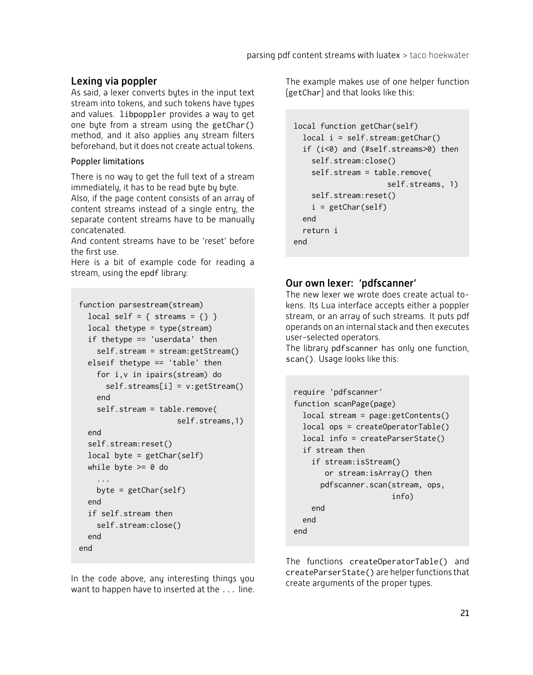# Lexing via poppler

As said, a lexer converts bytes in the input text stream into tokens, and such tokens have types and values. libpoppler provides a way to get one byte from a stream using the getChar() method, and it also applies any stream filters beforehand, but it does not create actual tokens.

#### Poppler limitations

There is no way to get the full text of a stream immediately, it has to be read byte by byte.

Also, if the page content consists of an array of content streams instead of a single entry, the separate content streams have to be manually concatenated.

And content streams have to be 'reset' before the first use.

Here is a bit of example code for reading a stream, using the epdf library:

```
function parsestream(stream)
  local self = { streams = {} }
  local thetype = type(stream)
  if thetype == 'userdata' then
    self.stream = stream:getStream()
  elseif thetype == 'table' then
    for i,v in ipairs(stream) do
      self.streams[i] = v:getStream()
    end
    self.stream = table.remove(
                      self.streams,1)
  end
  self.stream:reset()
  local byte = getChar(self)while byte >= 0 do
    ...
   byte = getChar(self)
  end
  if self.stream then
    self.stream:close()
  end
end
```
In the code above, any interesting things you want to happen have to inserted at the  $\ldots$  line. The example makes use of one helper function [getChar] and that looks like this:

```
local function getChar(self)
  local i = self.stream:getChar()
  if (i<0) and (#self.streams>0) then
    self.stream:close()
    self.stream = table.remove(
                     self.streams, 1)
    self.stream:reset()
    i = getChar(self)end
  return i
end
```
# Our own lexer: 'pdfscanner'

The new lexer we wrote does create actual tokens. Its Lua interface accepts either a poppler stream, or an array of such streams. It puts pdf operands on an internal stack and then executes user-selected operators.

The library pdfscanner has only one function, scan(). Usage looks like this:

```
require 'pdfscanner'
function scanPage(page)
  local stream = page:getContents()
  local ops = createOperatorTable()
  local info = createParserState()
  if stream then
    if stream:isStream()
       or stream:isArray() then
      pdfscanner.scan(stream, ops,
                      info)
    end
  end
end
```
The functions createOperatorTable() and createParserState() are helper functions that create arguments of the proper types.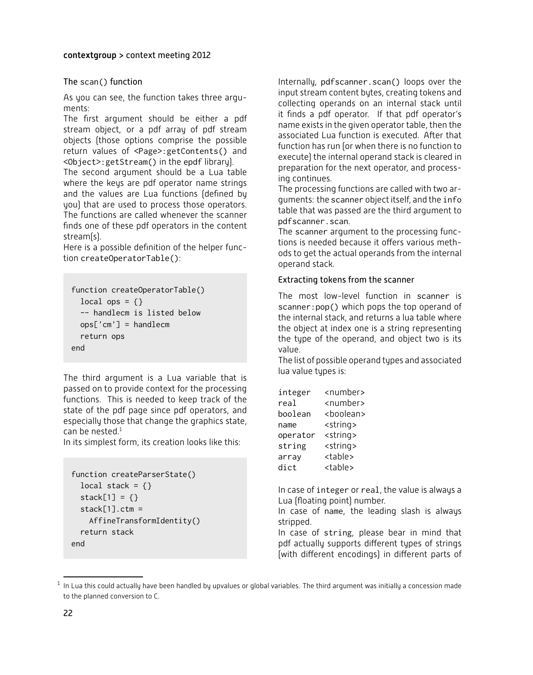#### contextgroup > context meeting 2012

#### The scan() function

As you can see, the function takes three argu $m$ ents:

The first argument should be either a pdf stream object, or a pdf array of pdf stream objects (those options comprise the possible return values of <Page>:getContents() and  $\leq$ Object>:getStream() in the epdf librarul.

The second argument should be a Lua table where the keys are pdf operator name strings and the values are Lua functions (defined by you) that are used to process those operators. The functions are called whenever the scanner finds one of these pdf operators in the content stream(s).

Here is a possible definition of the helper function createOperatorTable():

```
function createOperatorTable()
  local ops = \{\}-- handlecm is listed below
  ops['cm'] = handlecm
  return ops
end
```
The third argument is a Lua variable that is passed on to provide context for the processing functions. This is needed to keep track of the state of the pdf page since pdf operators, and especially those that change the graphics state, can be nested. $1$ 

In its simplest form, its creation looks like this:

```
function createParserState()
  local stack = \{\}stack[1] = \{\}stack[1].ctm =AffineTransformIdentity()
  return stack
end
```
Internally, pdfscanner.scan() loops over the input stream content bytes, creating tokens and collecting operands on an internal stack until it finds a pdf operator. If that pdf operator's name exists in the given operator table, then the associated Lua function is executed. After that function has run for when there is no function to execute) the internal operand stack is cleared in preparation for the next operator, and processing continues.

The processing functions are called with two arguments: the scanner object itself, and the info table that was passed are the third argument to pdfscanner.scan

The scanner argument to the processing functions is needed because it offers various methods to get the actual operands from the internal operand stack.

#### Extracting tokens from the scanner

The most low-level function in scanner is scanner:pop() which pops the top operand of the internal stack, and returns a lua table where the object at index one is a string representing the type of the operand, and object two is its value.

The list of possible operand types and associated lua value types is:

| integer  | <number></number>   |
|----------|---------------------|
| real     | <number></number>   |
| boolean  | <boolean></boolean> |
| name     | <string></string>   |
| operator | <string></string>   |
| string   | <string></string>   |
| array    | <table></table>     |
| dict     | <table></table>     |

In case of integer or real, the value is always a Lua (floating point) number.

In case of name, the leading slash is always stripped.

In case of string, please bear in mind that pdf actually supports different types of strings (with different encodings) in different parts of

In Lua this could actually have been handled by upvalues or global variables. The third argument was initially a concession made to the planned conversion to C.